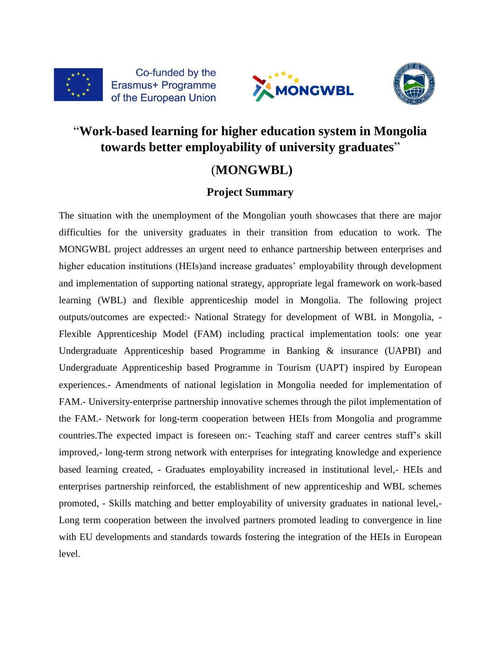





# "**Work-based learning for higher education system in Mongolia towards better employability of university graduates**"

# (**MONGWBL)**

### **Project Summary**

The situation with the unemployment of the Mongolian youth showcases that there are major difficulties for the university graduates in their transition from education to work. The MONGWBL project addresses an urgent need to enhance partnership between enterprises and higher education institutions (HEIs)and increase graduates' employability through development and implementation of supporting national strategy, appropriate legal framework on work-based learning (WBL) and flexible apprenticeship model in Mongolia. The following project outputs/outcomes are expected:- National Strategy for development of WBL in Mongolia, - Flexible Apprenticeship Model (FAM) including practical implementation tools: one year Undergraduate Apprenticeship based Programme in Banking & insurance (UAPBI) and Undergraduate Apprenticeship based Programme in Tourism (UAPT) inspired by European experiences.- Amendments of national legislation in Mongolia needed for implementation of FAM.- University-enterprise partnership innovative schemes through the pilot implementation of the FAM.- Network for long-term cooperation between HEIs from Mongolia and programme countries.The expected impact is foreseen on:- Teaching staff and career centres staff's skill improved,- long-term strong network with enterprises for integrating knowledge and experience based learning created, - Graduates employability increased in institutional level,- HEIs and enterprises partnership reinforced, the establishment of new apprenticeship and WBL schemes promoted, - Skills matching and better employability of university graduates in national level,- Long term cooperation between the involved partners promoted leading to convergence in line with EU developments and standards towards fostering the integration of the HEIs in European level.